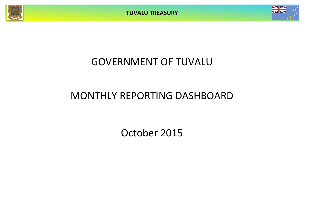**TUVALU TREASURY**



# GOVERNMENT OF TUVALU

# MONTHLY REPORTING DASHBOARD

October 2015

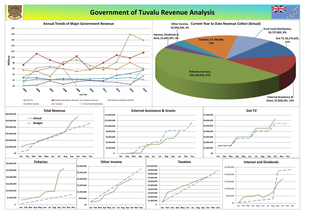

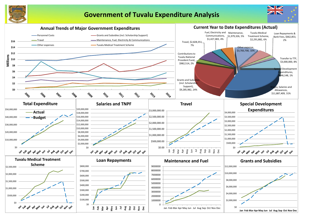

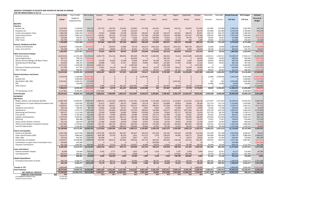### **MONTHLY STATEMENT OF RECEIPTS AND PAYENTS BY NATURE OF EXPENSE FOR THE PERIOD ENDED 31-Oct-15**

|                                           | August            | September          | October           | November           | December           | <b>Actual+Forecast</b> | 2015 Budget            | Variance            |
|-------------------------------------------|-------------------|--------------------|-------------------|--------------------|--------------------|------------------------|------------------------|---------------------|
|                                           | Actual            | Actual             | Actual            | Forecast           | Forecast           | <b>Full Year</b>       | <b>Full Year</b>       | Forecast &          |
|                                           |                   |                    |                   |                    |                    |                        |                        | <b>Budget</b>       |
|                                           |                   |                    |                   |                    |                    |                        |                        |                     |
|                                           | 154,152           | 160,607            | 171,639           | 152,083            | 152,083            | 1,928,134              | 1,825,000              | 103,134             |
| 0                                         | $\mathbf 0$       | $\mathbf 0$        | 60,174            | 225,000            | 225,000            | 3,176,218              | 2,700,000              | 476,218             |
| 5                                         | 101,021           | 148,574            | 83,871            | 109,125            | 109,125            | 1,303,798              | 1,309,500              | (5,703)             |
| 4                                         | 140,689           | 167,137            | 159,760           | 208,333            | 208,333            | 1,875,369              | 2,500,000              | (624, 631)          |
| $\overline{\mathbf{c}}$                   | 13,129            | 16,735             | 5,678             | 16,667             | 16,667             | 143,980                | 200,000                | (56, 020)           |
| $\overline{0}$<br>$\overline{\mathbf{z}}$ | 56,287<br>465,279 | 636<br>493,689     | 1,400<br>482,522  | 20,042<br>731,250  | 20,042<br>731,250  | 331,869<br>8,759,368   | 240,500<br>8,775,000   | 91,369<br>(15, 632) |
|                                           |                   |                    |                   |                    |                    |                        |                        |                     |
| 3                                         | (153, 191)        | 904,730            | 288,079           | 10,000             | 10,000             | 1,487,963              | 2,003,862              | (515, 899)          |
| 6                                         | 54,352            | 9,943              | 26,674            | 29,316             | 29,316             | 382,022                | 351,791                | 30,231              |
| 9                                         | (98, 839)         | 914,673            | 314,753           | 39,316             | 39,316             | 1,869,985              | 2,355,653              | (485, 668)          |
| 6                                         | 13,112            | 14,032,689         | 2,629,446         | 1,419,511          | 1,419,511          | 29,168,437             | 17,034,127             | 12,134,310          |
| 9                                         | $\mathbf{0}$      | $\mathbf{0}$       | 64,645            | 70,833             | 70,833             | 649,442                | 850,000                | (200, 558)          |
| $\mathbf{1}$                              | 37,834            | 5,246              | 39,649            | 40,833             | 40,833             | 458,793                | 490,000                | (31, 207)           |
| $\mathbf{1}$                              | 57,410            | 16,466             | 31,212            | 30,625             | 30,625             | 481,194                | 367,500                | 113,694             |
| 8                                         | $\mathbf{0}$      | $\mathbf 0$        | 1,673,092         | $\mathbf 0$        | $\overline{0}$     | 6,273,625              | 5,450,000              | 823,625             |
| 8                                         | 80,413            | 93,460             | 34,006            | 61,770             | 61,770             | 634,846                | 741,240                | (106, 394)          |
| 6                                         | 21,713            | 46,604             | 15,933            | 40,467             | 40,467             | 311,127                | 485,600                | (174, 474)          |
| O                                         | 210,483           | 14,194,465         | 4,487,983         | 1,664,039          | 1,664,039          | 37,977,462             | 25,418,468             | 12,558,995          |
| 0                                         | $\mathbf 0$       | 0                  | 0                 | 15,000             | 3,190,000          | 6,425,240              | 8,355,000              | (1,929,760)         |
| 0                                         | 0                 | $\pmb{0}$          | $\mathbf 0$       | 0                  | 0                  | $\mathbf{0}$           | 1,500,000              | (1,500,000)         |
| 0                                         | 2,015,023         | $\pmb{0}$          | 0                 | 833                | 833                | 2,016,690              | 1,645,000              | 371,690             |
| 0                                         | $\mathbf{0}$      | $\mathbf 0$        | 0                 | 13,000             | 13,000             | 26,000                 | 156,000                | (130,000)           |
| 7                                         | 10,624            | 29,730             | 2,770,694         | $\mathbf 0$        | $\overline{0}$     | 3,118,403              | 0                      | 3,118,403           |
| 7                                         | 2,025,647         | 29,730             | 2,770,694         | 28,833             | 3,203,833          | 11,586,333             | 11,656,000             | (69, 667)           |
| 0                                         | $\mathbf 0$       | $\pmb{0}$          | 0                 | 0                  | 0                  | 4,727,802              | 8,700,000              | (3,972,198)         |
| 3                                         | 2,602,570         | 15,632,557         | 8,055,952         | 2,463,438          | 5,638,438          | 64,920,949             | 56,905,120             | 8,015,829           |
|                                           |                   |                    |                   |                    |                    |                        |                        |                     |
| $\overline{\mathbf{c}}$                   | 1,113,834         | 1,112,672          | 1,156,539         | 1,371,407          | 1,371,407          | 14,630,223             | 16,456,925             | 1,826,702           |
| 8                                         | 93,854            | 94,646             | 96,594            | 121,174            | 121,174            | 1,224,861              | 1,454,083              | 229,221             |
| 8                                         | 243,589           | 363,115            | 374,896           | 200,210            | 200,210            | 3,228,772              | 2,402,523              | (826, 249)          |
| 4                                         | 11,840            | 10,379             | 10,658            | 15,346             | 15,346             | 139,818                | 184,152                | 44,334              |
| 7                                         | 569,572           | (221, 534)         | 141,318           | 425,520            | 425,520            | 2,830,367              | 5,606,246              | 2,775,878           |
| 8                                         | 112,777           | 102,342            | 35,619            | 167,376            | 88,376             | 875,888                | 1,139,511              | 263,622             |
| 0                                         | 12,166            | 29,031             | 30,539            | 95,033             | 95,033             | 906,012                | 1,140,396              | 234,384             |
| 4<br>0                                    | 157,893<br>79,303 | 182,959<br>45,533  | 168,404<br>39,735 | 253,026<br>77,821  | 253,026<br>77,821  | 2,476,203<br>758,052   | 3,036,315<br>933,846   | 560,112<br>175,794  |
| $\mathbf{0}$                              | 24,622            | 24,290             | 25,156            | 33,907             | 33,907             | 328,957                | 406,878                | 77,921              |
| 0                                         | 162,503           | (86, 335)          | 144,430           | 150,333            | 150,333            | 2,592,549              | 1,804,000              | (788, 549)          |
| 4                                         | 12,332            | 26,413             | 12,426            | 95,260             | 95,260             | 1,122,790              | 1,143,125              | 20,335              |
| 5                                         | 2,594,285         | 1,683,510          | 2,236,314         | 3,006,413          | 2,927,413          | 31,114,492             | 35,707,999             | 4,593,507           |
|                                           |                   |                    |                   |                    |                    |                        |                        |                     |
| 6<br>5                                    | 235,550<br>92,840 | 118,786<br>128,771 | 512,236<br>32,819 | 331,309<br>240,000 | 331,309<br>240,000 | 4,629,906<br>1,790,179 | 4,669,437<br>2,880,000 | 39,531<br>1,089,821 |
| $\mathbf 1$                               | $\pmb{0}$         | 14,072             | 33,623            | 61,583             | 61,583             | 246,301                | 739,000                | 492,699             |
| $\overline{\mathbf{c}}$                   | 218,166           | 116,513            | 362,407           | 240,655            | 240,655            | 3,431,381              | 2,887,855              | (543, 527)          |
| 0                                         | 0                 | 0                  | 42                | 0                  | 0                  | 293,980                | 0                      | (293,980)           |
| 4                                         | 42,204            | 34,184             | 68,226            | 93,444             | 93,444             | 828,215                | 1,121,324              | 293,108             |
| 8                                         | 588,760           | 412,324            | 1,009,354         | 966,990            | 966,990            | 11,219,962             | 12,297,615             | 1,077,653           |
| 9                                         | 1,747             | 2,509              | 2,694             | 10,417             | 10,417             | 41,217                 | 125,000                | 83,783              |
| 0                                         | 137,001           | 181,378            | 0                 | 20,729             | 20,729             | 683,927                | 601,966                | (81, 961)           |
| 9                                         | 138,748           | 183,887            | 2,694             | 31,145             | 31,145             | 725,144                | 726,966                | 1,822               |
|                                           |                   |                    |                   |                    |                    |                        |                        |                     |
| 0                                         | 24,316            | 46,416             | 58,183            | 380,365            | 380,365            | 1,206,878              | 4,564,377              | 3,357,499           |
| O                                         | 24,316            | 46,416             | 58,183            | 380,365            | 380,365            | 1,206,878              | 4,564,377              | 3,357,499           |
| 0                                         | 0                 | $\mathbf 0$        | 3,000,000         | 0                  | 3,000,000          | 6,000,000              | 3,000,000              | (3,000,000)         |
| $\mathbf{1}$                              | 3,346,110         | 2,326,138          | 6,306,545         | 4,384,913          | 7,305,913          | 50,266,476             | 56,296,957             | 6,030,481           |
|                                           | (743, 540)        | 13,306,419         | 1,749,407         | (1,921,475)        | (1,667,475)        | 14,654,473             | 608,164                | 14,046,309          |
|                                           | 23.5              | 36.8               | 38.6              | 36.6               | 35.0               |                        |                        |                     |

**Year to Date** Year to Date Year to Date January February March April May June July August September October November December **Actual+Forecast 2015 Budget Variance Actual** Budget & Supplementary Variance Actual Actual Actual Actual Actual Actual Actual Actual Actual Actual Forecast Forecast **Full Year Full Year RECEIPTS** *Taxation* Income Tax 1,623,967 1,520,833 103,134 157,723 139,705 151,645 154,855 157,566 161,410 214,665 154,152 160,607 171,639 152,083 152,083 1,928,134 1,825,000 103,134 Company Tax 2,726,218 2,250,000 476,218 0 2,442,970 5,740 214,223 0 3,111 0 0 0 60,174 225,000 225,000 3,176,218 2,700,000 476,218 Tuvalu Consumption Taxes 1,085,548 1,091,250 (5,703) 73,623 92,868 62,796 130,562 100,262 81,694 210,275 101,021 148,574 83,871 109,125 109,125 1,303,798 1,309,500 (5,703) Import Duty & Excise 1,458,703 2,083,333 (624,631) 116,951 135,325 117,538 174,741 107,428 129,059 210,074 140,689 167,137 159,760 208,333 208,333 1,875,369 2,500,000 (624,631) Import Levy 110,646 166,667 (56,020) 13,996 26,029 9,111 11,644 16,327 (18,506) 16,502 13,129 16,735 5,678 16,667 16,667 143,980 200,000 (56,020) Other Taxes 291,786 200,417 91,370 5,590 520 50,436 2,600 100,446 59,031 14,840 56,287 636 1,400 20,042 20,042 331,869 240,500 91,369 7,296,868 7,312,500 (15,632)| 367,883 2,837,418 397,266 688,625 482,029 415,800 666,357 465,279 493,689 482,522 731,250 731,250 8,759,368 8,775,000 (15,632) *Interest, Dividends and Rent* Interest and Dividends 1,369,607 1,983,862 (614,255) 0 349,935 49,178 103,274 (246,253) 128,223 (153,191) 904,730 288,079 10,000 10,000 1,487,963 2,003,862 (515,899) Lease, rent and hire 323,390 293,159 30,231 35,852 18,819 44,471 32,501 25,770 35,206 54,352 9,943 26,674 29,316 29,316 382,022 351,791 30,231 1,692,997 2,277,021 (584,024)| 35,952 368,754 88,459 81,679 129,044 (210,642) 167,519 (98,839) 914,673 314,753 39,316 39,316 1,869,985 2,355,653 (485,668) *Other Government Charges* Fisheries Licenses 26,329,416 14,195,106 12,134,310 3,285,770 451,191 809,901 694,449 595,447 3,180,495 636,916 13,112 14,032,689 2,629,446 1,419,511 1,419,511 29,168,437 17,034,127 12,134,310 Vessel Registrations 507,775 708,333 (200,558) 0 0 0 261,810 0 0 181,319 0 0 64,645 70,833 70,833 649,442 850,000 (200,558) Marine Services (Nivaga II & Manu Folau) 1990 100 377,126 408,333 (31,207) 51,594 41,033 22,188 53,836 30,397 45,228 40,12 Stevedoring and Wharfage 1986 1990, 113,694 113,694 113,694 24,688 7,952 17,317 49,625 33,050 56,841 125,381 57,410 16,466 31,212 30,625 30,625 481,194 367,500 113,694 .TV 5,273,625 5,450,000 823,625 1,460,721 0 0 1,548,344 0 0 0 1,591,468 0 0 1,673,092 0 0 6,273,625 5,450,000 823,625 Provision of Goods and Services 511,306 617,700 (106,394) 17,881 19,130 49,479 34,441 38,013 33,255 111,228 80,413 93,460 34,006 61,770 61,770 634,846 741,240 (106,394) Other Charges 230,194 404,667 (174,474) (166) 46,953 18,516 20,742 13,709 29,723 16,466 21,713 46,604 15,933 40,467 40,467 311,127 485,600 (174,474) 34,649,384 22,090,390 12,558,995| 4,850,487 566,259 917,401 2,663,248 710,617 3,345,543 2,702,900 210,483 14,194,465 4,487,983 1,664,039 1,664,039 37,977,462 25,418,468 12,558,995 *External Assistance and Grants* ROC 3,220,240 5,150,000 (1,929,760) 0 0 0 0 3,220,240 0 0 0 0 0 15,000 3,190,000 6,425,240 8,355,000 (1,929,760) AusAID (CIF) 0 1,500,000 (1,500,000) 0 0 0 0 0 0 0 0 0 0 0 0 0 1,500,000 (1,500,000) World Bank, IMF, ADB 2,015,023 1,643,333 371,690 0 0 0 0 0 0 0 2,015,023 0 0 833 833 2,016,690 1,645,000 371,690 PDF 0 130,000 (130,000) 0 0 0 0 0 0 0 0 0 0 13,000 13,000 26,000 156,000 (130,000) Other Donors 0 2,623,028 2,499 13,578 261,247 (220,505) 2,748 100 247,687 10,624 29,730 2,770,694 0 3,118,403 0 3,118,403 7,858,291 8,423,333 (565,042)| 2,499 13,578 261,247 (220,505) 3,222,988 100 247,687 2,025,647 29,730 2,770,694 28,833 3,203,833 11,586,333 11,656,000 (69,667) TTF Distribution to CIF 8,700,000 (3,972,198) 4,727,802 0 8,700,000 (3,972,198) 0 8,700,000 (3,972,198) Example 1980 1980 1980 1980 1009 1,664,373 1,664,373 1,213,047 1,544,679 1,550,801 1,784,463 1,664,373 1,664,373 1,784,679 1,544,679 1,550,801 1,664,373 1,784,463 1,784,463 1,784,463 1,784,463 1,784,463 1,784,463 1,850,801 **PAYMENTS** *Operations* Wages, Salaries, and Employee Benefits 11,887,409 15,893,857 4,006,447 1,090,152 1,225,560 1,099,353 1,157,291 1,126,588 1,131,900 1,673,52 Contributions to Tuvalu National Provident Fund | 982,514 1,454,082 471,567 87,611 99,877 90,753 94,891 93,274 88,127 142,888 Travel 2,828,351 3,452,359 624,008 345,730 160,352 256,613 185,157 183,057 398,014 317,828 243,589 363,115 374,896 200,210 200,210 3,228,772 2,402,523 (826,249) Telephone and Internet 109,126 189,402 80,276 13,466 12,346 16,147 9,518 8,395 9,854 6,524 11,840 10,379 10,658 15,346 15,346 139,818 184,152 44,334 Maintenance 1,979,326 4,734,715 2,755,389 93,515 145,860 340,285 122,230 189,824 165,080 433,177 569,572 (221,534) 141,318 425,520 425,520 2,830,367 5,606,246 2,775,878 Advertising and Provisions 620,137 1,111,566 491,429 14,564 46,080 56,666 28,666 123,060 20,544 79,818 112,777 102,342 35,619 167,376 88,376 875,888 1,139,511 263,622 Fuel and Oil 715,946 1,130,186 414,240 126,279 73,936 108,054 42,684 49,595 131,772 111,890 12,166 29,031 30,539 95,033 95,033 906,012 1,140,396 234,384 Supplies and Equipment 1,970,150 3,036,923 1,066,773 56,466 146,205 284,715 240,785 179,589 357,971 195,164 157,893 182,959 168,404 253,026 253,026 2,476,203 3,036,315 560,112 Electricity 602,411 896,988 294,577 24,593 43,353 66,630 75,166 86,288 122,660 19,150 79,303 45,533 39,735 77,821 77,821 758,052 933,846 175,794 Senior Citizen Scheme / Pension 261,144 346,878 85,734| 23,380 40,978 25,680 25,246 23,520 24,622 24,290 25,156 33,907 33,907 328,957 406,878 77,921 TMTS (Tuvalu Medical Treatment Scheme) 2,291,882 2,770,963 479,081 216,732 260,742 295,051 364,203 128,195 174,200 632,160 162,503 (86,335) 144,430 150,333 150,333 2,592,549 1,804,000 (788,549) Land & Property Rent 932,269 1,155,283 223,014 21,204 51,890 598,153 138,265 33,091 12,761 25,734 12,332 26,413 12,426 95,260 95,260 1,122,790 1,143,125 20,335 25,180,666 36,173,201 10,992,535| 2,113,693 2,290,560 3,253,398 2,482,515 2,226,887 2,638,128 3,661,375 2,594,285 1,683,510 2,236,314 3,006,413 2,927,413| 31,114,492 35,707,999 4,593,507 *Grants and Subsidies* Grants and Subsidies 3,967,289 4,657,494 690,205| 1,673,706 182,785 362,347 164,627 264,576 261,320 191,356 235,550 118,786 512,236 331,309 331,309 4,629,906 4,669,437 39,531 39,531 Outer Island Projects (SDE) 1,310,179 2,880,000 1,569,821 644,780 35,379 85,216 1,651 157,317 1,370 130,035 92,840 128,771 32,819 240,000 240,000 1,790,179 2,880,000 1,089,821 Other SDEs 442,925 319,791| (8,184) 0 12,814 3,827 4,071 0 62,911 0 14,072 33,623 61,583 61,583 246,301 739,000 492,699 Scholarships and Support 1 2,950,072 10,048,890 7,098,818 261,959 396,535 365,842 359,636 181,791 205,622 481,602 218,166 116,513 362,407 240,655 240,655 3,431,381 2,887,855 (543,527) Contribution to Japan Grant Counterpart Fund 293,980 293,980 0 0 0 0 0 0 293,938 0 0 0 42 0 0 293,980 0 (293,980) Overseas Contributions 641,328 1,095,987 454,659 227,967 75,512 23,553 119,957 16,000 20,670 13,054 42,204 34,184 68,226 93,444 93,444 828,215 1,121,324 293,108 9,285,982 19,419,276 10,133,295| 2,800,228 690,211 849,772 649,698 623,756 782,919 878,958 588,760 412,324 1,009,354 966,990 966,990 11,219,962 12,297,615 1,077,653 *Loans and Interest* Interest and Bank Charges 20,384 124,000 103,616 2,505 2,777 1,935 1,822 1,307 1,529 1,559 1,747 2,509 2,694 10,417 10,417 41,217 125,000 83,783 Loan Repayment 684,681 42,211 0 315,522 0 0 0 0 137,001 181,378 0 20,729 20,729 683,927 601,966 (81,961) 662,853 808,681 145,828| 2,505 318,299 1,935 10,390 1,307 1,559 138,748 183,887 2,694 31,145 31,145 725,144 726,966 1,822 *Capital Expenditures* Purchase/construction of assets 446,148 4,268,377 3,822,228 75,178 46,111 22,259 70,044 5,488 88,132 10,020 24,316 46,416 58,183 380,365 380,365 1,206,878 4,564,377 3,357,499 446,148 4,268,377 3,822,228| 75,178 46,111 22,259 70,044 5,488 88,132 10,020 24,316 46,416 58,183 380,365 380,365 1,206,878 4,564,377 3,357,499  $\textsf{Transfer\,to\,TTF}$  , ansfer to transfer to transfer to transfer to transfer to transfer to transfer to transfer to transfer to transfer to transfer to transfer to transfer to transfer to transfer to transfer to transfer to t Total Payments 63,669,535 25,093,885 4,991,604 3,345,182 4,127,365 3,212,647 2,857,439 3,510,709 4,551,91 NET SURPLUS / (DEFICIT) 27,649,692 (14,866,291) 32,515,983 4,993,017 440,828 (2,462,991) 399 1,687,240 40,092 (767,448 **FORECAST CASH POSITION \$M 38.6 25.3 25.7 23.3 23.3 25.0 25.0 24.2 23.5 36.8 38.6 36.6 35.0** Consolidated Investment Fund 25,703,293

General Current Account 12,855,629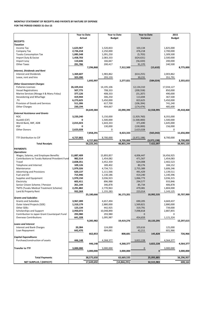| Purchase/construction of assets | 446,148   |            | 4,268,377 |                | 3,822,228 |            | 4,564,377 |            |
|---------------------------------|-----------|------------|-----------|----------------|-----------|------------|-----------|------------|
|                                 |           | 446,148    |           | 4,268,377      |           | 3,822,228  |           | 4,564,377  |
| <b>Transfer to TTF</b>          | 3,000,000 |            | 3,000,000 |                |           |            | 3,000,000 |            |
|                                 |           | 3,000,000  |           | 3,000,000      |           |            |           | 3,000,000  |
| <b>Total Payments</b>           |           | 38,575,650 |           | 63,669,535     |           | 25,093,885 |           | 56,296,957 |
| <b>NET SURPLUS / (DEFECIT)</b>  |           | 17,649,692 |           | (14, 866, 291) |           | 32,515,983 |           | 608,164    |

|                                                        | <b>Year to Date</b><br><b>Actual</b> |            | <b>Year to Date</b><br><b>Budget</b> |            | <b>Year to Date</b><br>Variance |             | 2015<br><b>Budget</b> |            |
|--------------------------------------------------------|--------------------------------------|------------|--------------------------------------|------------|---------------------------------|-------------|-----------------------|------------|
|                                                        |                                      |            |                                      |            |                                 |             |                       |            |
| <b>RECEIPTS</b>                                        |                                      |            |                                      |            |                                 |             |                       |            |
| <b>Taxation</b>                                        |                                      |            |                                      |            |                                 |             |                       |            |
| Income Tax                                             | 1,623,967                            |            | 1,520,833                            |            | 103,134                         |             | 1,825,000             |            |
| Company Tax                                            | 2,726,218                            |            | 2,250,000                            |            | 476,218                         |             | 2,700,000             |            |
| <b>Tuvalu Consumption Tax</b>                          | 1,085,548                            |            | 1,091,250                            |            | (5,703)                         |             | 1,309,500             |            |
| Import Duty & Excise                                   | 1,458,703                            |            | 2,083,333                            |            | (624, 631)                      |             | 2,500,000             |            |
| Import Levy                                            | 110,646                              |            | 166,667                              |            | (56,020)                        |             | 200,000               |            |
| <b>Other Taxes</b>                                     | 291,786                              |            | 200,417                              |            | 91,370                          |             | 240,500               |            |
| <b>Interest, Dividends and Rent</b>                    |                                      | 7,296,868  |                                      | 7,312,500  |                                 | (15, 632)   |                       | 8,775,000  |
| <b>Interest and Dividends</b>                          | 1,369,607                            |            | 1,983,862                            |            | (614, 255)                      |             | 2,003,862             |            |
| Lease, rent and hire                                   | 323,390                              |            | 293,159                              |            | 30,231                          |             | 351,791               |            |
|                                                        |                                      | 1,692,997  |                                      | 2,277,021  |                                 | (584, 024)  |                       | 2,355,653  |
| <b>Other Government Charges</b>                        |                                      |            |                                      |            |                                 |             |                       |            |
| <b>Fisheries Licenses</b>                              | 26,329,416                           |            | 14,195,106                           |            | 12,134,310                      |             | 17,034,127            |            |
| <b>Vessel Registrations</b>                            | 507,775                              |            | 708,333                              |            | (200, 558)                      |             | 850,000               |            |
| Marine Services (Nivaga II & Manu Folau)               | 377,126                              |            | 408,333                              |            | (31, 207)                       |             | 490,000               |            |
| Stevedoring and Wharfage                               | 419,944                              |            | 306,250                              |            | 113,694                         |             | 367,500               |            |
| .TV                                                    | 6,273,625                            |            | 5,450,000                            |            | 823,625                         |             | 5,450,000             |            |
| Provision of Goods and Services                        | 511,306                              |            | 617,700                              |            | (106, 394)                      |             | 741,240               |            |
| <b>Other Charges</b>                                   | 230,194                              |            | 404,667                              |            | (174, 474)                      |             | 485,600               |            |
|                                                        |                                      | 34,649,384 |                                      | 22,090,390 |                                 | 12,558,995  |                       | 25,418,468 |
| <b>External Assistance and Grants</b>                  |                                      |            |                                      |            |                                 |             |                       |            |
| <b>ROC</b>                                             | 3,220,240                            |            | 5,150,000                            |            | (1,929,760)                     |             | 8,355,000             |            |
| AusAID (CIF)                                           | 0                                    |            | 1,500,000                            |            | (1,500,000)                     |             | 1,500,000             |            |
| World Bank, IMF, ADB                                   | 2,015,023                            |            | 1,643,333                            |            | 371,690                         |             | 1,645,000             |            |
| PDF                                                    | $\mathbf{0}$                         |            | 130,000                              |            | (130,000)                       |             | 156,000               |            |
| <b>Other Donors</b>                                    | 2,623,028                            |            | 0                                    |            | 2,623,028                       |             | 0                     |            |
|                                                        |                                      | 7,858,291  |                                      | 8,423,333  |                                 | (565, 042)  |                       | 11,656,000 |
| TTF Distribution to CIF                                | 4,727,802                            |            | 8,700,000                            |            | (3,972,198)                     |             | 8,700,000             |            |
|                                                        |                                      | 4,727,802  |                                      | 8,700,000  |                                 | (3,972,198) |                       | 8,700,000  |
| <b>Total Receipts</b>                                  |                                      | 56,225,341 |                                      | 48,803,244 |                                 | 7,422,097   |                       | 56,905,120 |
| <b>PAYMENTS</b>                                        |                                      |            |                                      |            |                                 |             |                       |            |
| <b>Operations</b>                                      |                                      |            |                                      |            |                                 |             |                       |            |
| Wages, Salaries, and Employee Benefits                 | 11,887,409                           |            | 15,893,857                           |            | 4,006,447                       |             | 16,456,925            |            |
| <b>Contributions to Tuvalu National Provident Fund</b> | 982,514                              |            | 1,454,082                            |            | 471,567                         |             | 1,454,083             |            |
| Travel                                                 | 2,828,351                            |            | 3,452,359                            |            | 624,008                         |             | 2,402,523             |            |
| Telephone and Internet                                 | 109,126                              |            | 189,402                              |            | 80,276                          |             | 184,152               |            |
| Maintenance                                            | 1,979,326                            |            | 4,734,715                            |            | 2,755,389                       |             | 5,606,246             |            |
| <b>Advertising and Provisions</b>                      | 620,137                              |            | 1,111,566                            |            | 491,429                         |             | 1,139,511             |            |
| Fuel and Oil                                           | 715,946                              |            | 1,130,186                            |            | 414,240                         |             | 1,140,396             |            |
| Supplies and Equipment                                 | 1,970,150                            |            | 3,036,923                            |            | 1,066,773                       |             | 3,036,315             |            |
| Electricity                                            | 602,411                              |            | 896,988                              |            | 294,577                         |             | 933,846               |            |
| Senior Citizen Scheme / Pension                        | 261,144                              |            | 346,878                              |            | 85,734                          |             | 406,878               |            |
| <b>TMTS (Tuvalu Medical Treatment Scheme)</b>          | 2,291,882                            |            | 2,770,963                            |            | 479,081                         |             | 1,804,000             |            |
| Land & Property Rent                                   | 932,269                              |            | 1,155,283                            |            | 223,014                         |             | 1,143,125             |            |
|                                                        |                                      | 25,180,666 |                                      | 36,173,201 |                                 | 10,992,535  |                       | 35,707,999 |
| <b>Grants and Subsidies</b>                            |                                      |            |                                      |            |                                 |             |                       |            |
| <b>Grants and Subsidies</b>                            | 3,967,289                            |            | 4,657,494                            |            | 690,205                         |             | 4,669,437             |            |
| Outer Island Projects (SDE)                            | 1,310,179                            |            | 2,880,000                            |            | 1,569,821                       |             | 2,880,000             |            |
| Other SDEs                                             | 123,134                              |            | 442,925                              |            | 319,791                         |             | 739,000               |            |
| Scholarships and Support                               | 2,950,072                            |            | 10,048,890                           |            | 7,098,818                       |             | 2,887,855             |            |
| Contribution to Japan Grant Counterpart Fund           | 293,980                              |            | 293,980                              |            | $\Omega$                        |             | 0                     |            |
| <b>Overseas Contributions</b>                          | 641,328                              |            | 1,095,987                            |            | 454,659                         |             | 1,121,324             |            |
|                                                        |                                      | 9,285,982  |                                      | 19,419,276 |                                 | 10,133,295  |                       | 12,297,615 |
| <b>Loans and Interest</b>                              |                                      |            |                                      |            |                                 |             |                       |            |
| Interest and Bank Charges                              | 20,384                               |            | 124,000                              |            | 103,616                         |             | 125,000               |            |
| Loan Repayment                                         | 642,470                              |            | 684,681                              |            | 42,211                          |             | 601,966               |            |
| <b>Capital Expenditures</b>                            |                                      | 662,853    |                                      | 808,681    |                                 | 145,828     |                       | 726,966    |
|                                                        |                                      |            |                                      |            |                                 |             |                       |            |

## **MONTHLY STATEMENT OF RECEIPTS AND PAYENTS BY NATURE OF EXPENSE FOR THE PERIOD ENDED 31-Oct-15**